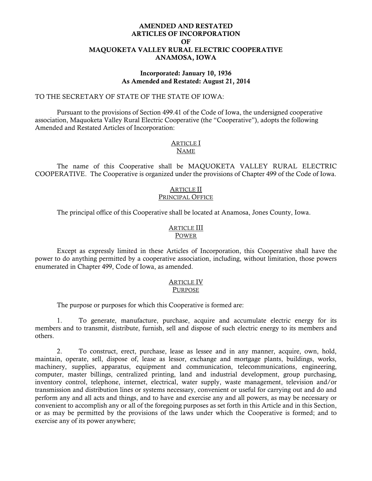## AMENDED AND RESTATED ARTICLES OF INCORPORATION OF MAQUOKETA VALLEY RURAL ELECTRIC COOPERATIVE ANAMOSA, IOWA

#### Incorporated: January 10, 1936 As Amended and Restated: August 21, 2014

#### TO THE SECRETARY OF STATE OF THE STATE OF IOWA:

Pursuant to the provisions of Section 499.41 of the Code of Iowa, the undersigned cooperative association, Maquoketa Valley Rural Electric Cooperative (the "Cooperative"), adopts the following Amended and Restated Articles of Incorporation:

#### **ARTICLE I** NAME

The name of this Cooperative shall be MAQUOKETA VALLEY RURAL ELECTRIC COOPERATIVE. The Cooperative is organized under the provisions of Chapter 499 of the Code of Iowa.

#### ARTICLE II PRINCIPAL OFFICE

The principal office of this Cooperative shall be located at Anamosa, Jones County, Iowa.

#### ARTICLE III POWER

Except as expressly limited in these Articles of Incorporation, this Cooperative shall have the power to do anything permitted by a cooperative association, including, without limitation, those powers enumerated in Chapter 499, Code of Iowa, as amended.

# ARTICLE IV

## PURPOSE

The purpose or purposes for which this Cooperative is formed are:

1. To generate, manufacture, purchase, acquire and accumulate electric energy for its members and to transmit, distribute, furnish, sell and dispose of such electric energy to its members and others.

2. To construct, erect, purchase, lease as lessee and in any manner, acquire, own, hold, maintain, operate, sell, dispose of, lease as lessor, exchange and mortgage plants, buildings, works, machinery, supplies, apparatus, equipment and communication, telecommunications, engineering, computer, master billings, centralized printing, land and industrial development, group purchasing, inventory control, telephone, internet, electrical, water supply, waste management, television and/or transmission and distribution lines or systems necessary, convenient or useful for carrying out and do and perform any and all acts and things, and to have and exercise any and all powers, as may be necessary or convenient to accomplish any or all of the foregoing purposes as set forth in this Article and in this Section, or as may be permitted by the provisions of the laws under which the Cooperative is formed; and to exercise any of its power anywhere;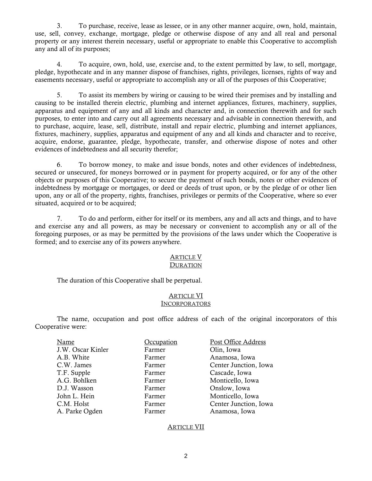3. To purchase, receive, lease as lessee, or in any other manner acquire, own, hold, maintain, use, sell, convey, exchange, mortgage, pledge or otherwise dispose of any and all real and personal property or any interest therein necessary, useful or appropriate to enable this Cooperative to accomplish any and all of its purposes;

4. To acquire, own, hold, use, exercise and, to the extent permitted by law, to sell, mortgage, pledge, hypothecate and in any manner dispose of franchises, rights, privileges, licenses, rights of way and easements necessary, useful or appropriate to accomplish any or all of the purposes of this Cooperative;

5. To assist its members by wiring or causing to be wired their premises and by installing and causing to be installed therein electric, plumbing and internet appliances, fixtures, machinery, supplies, apparatus and equipment of any and all kinds and character and, in connection therewith and for such purposes, to enter into and carry out all agreements necessary and advisable in connection therewith, and to purchase, acquire, lease, sell, distribute, install and repair electric, plumbing and internet appliances, fixtures, machinery, supplies, apparatus and equipment of any and all kinds and character and to receive, acquire, endorse, guarantee, pledge, hypothecate, transfer, and otherwise dispose of notes and other evidences of indebtedness and all security therefor;

6. To borrow money, to make and issue bonds, notes and other evidences of indebtedness, secured or unsecured, for moneys borrowed or in payment for property acquired, or for any of the other objects or purposes of this Cooperative; to secure the payment of such bonds, notes or other evidences of indebtedness by mortgage or mortgages, or deed or deeds of trust upon, or by the pledge of or other lien upon, any or all of the property, rights, franchises, privileges or permits of the Cooperative, where so ever situated, acquired or to be acquired;

7. To do and perform, either for itself or its members, any and all acts and things, and to have and exercise any and all powers, as may be necessary or convenient to accomplish any or all of the foregoing purposes, or as may be permitted by the provisions of the laws under which the Cooperative is formed; and to exercise any of its powers anywhere.

#### **ARTICLE V DURATION**

The duration of this Cooperative shall be perpetual.

## ARTICLE VI **INCORPORATORS**

The name, occupation and post office address of each of the original incorporators of this Cooperative were:

| Name              | Occupation | Post Office Address   |
|-------------------|------------|-----------------------|
| J.W. Oscar Kinler | Farmer     | Olin, Iowa            |
| A.B. White        | Farmer     | Anamosa, Iowa         |
| C.W. James        | Farmer     | Center Junction, Iowa |
| T.F. Supple       | Farmer     | Cascade, Iowa         |
| A.G. Bohlken      | Farmer     | Monticello, Iowa      |
| D.J. Wasson       | Farmer     | Onslow, Iowa          |
| John L. Hein      | Farmer     | Monticello, Iowa      |
| C.M. Holst        | Farmer     | Center Junction, Iowa |
| A. Parke Ogden    | Farmer     | Anamosa, Iowa         |

# ARTICLE VII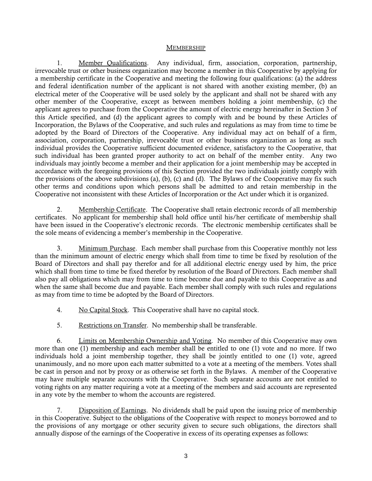#### MEMBERSHIP

1. Member Qualifications. Any individual, firm, association, corporation, partnership, irrevocable trust or other business organization may become a member in this Cooperative by applying for a membership certificate in the Cooperative and meeting the following four qualifications: (a) the address and federal identification number of the applicant is not shared with another existing member, (b) an electrical meter of the Cooperative will be used solely by the applicant and shall not be shared with any other member of the Cooperative, except as between members holding a joint membership, (c) the applicant agrees to purchase from the Cooperative the amount of electric energy hereinafter in Section 3 of this Article specified, and (d) the applicant agrees to comply with and be bound by these Articles of Incorporation, the Bylaws of the Cooperative, and such rules and regulations as may from time to time be adopted by the Board of Directors of the Cooperative. Any individual may act on behalf of a firm, association, corporation, partnership, irrevocable trust or other business organization as long as such individual provides the Cooperative sufficient documented evidence, satisfactory to the Cooperative, that such individual has been granted proper authority to act on behalf of the member entity. Any two individuals may jointly become a member and their application for a joint membership may be accepted in accordance with the foregoing provisions of this Section provided the two individuals jointly comply with the provisions of the above subdivisions (a), (b), (c) and (d). The Bylaws of the Cooperative may fix such other terms and conditions upon which persons shall be admitted to and retain membership in the Cooperative not inconsistent with these Articles of Incorporation or the Act under which it is organized.

2. Membership Certificate. The Cooperative shall retain electronic records of all membership certificates. No applicant for membership shall hold office until his/her certificate of membership shall have been issued in the Cooperative's electronic records. The electronic membership certificates shall be the sole means of evidencing a member's membership in the Cooperative.

3. Minimum Purchase. Each member shall purchase from this Cooperative monthly not less than the minimum amount of electric energy which shall from time to time be fixed by resolution of the Board of Directors and shall pay therefor and for all additional electric energy used by him, the price which shall from time to time be fixed therefor by resolution of the Board of Directors. Each member shall also pay all obligations which may from time to time become due and payable to this Cooperative as and when the same shall become due and payable. Each member shall comply with such rules and regulations as may from time to time be adopted by the Board of Directors.

- 4. No Capital Stock. This Cooperative shall have no capital stock.
- 5. Restrictions on Transfer. No membership shall be transferable.

6. Limits on Membership Ownership and Voting. No member of this Cooperative may own more than one (1) membership and each member shall be entitled to one (1) vote and no more. If two individuals hold a joint membership together, they shall be jointly entitled to one (1) vote, agreed unanimously, and no more upon each matter submitted to a vote at a meeting of the members. Votes shall be cast in person and not by proxy or as otherwise set forth in the Bylaws. A member of the Cooperative may have multiple separate accounts with the Cooperative. Such separate accounts are not entitled to voting rights on any matter requiring a vote at a meeting of the members and said accounts are represented in any vote by the member to whom the accounts are registered.

7. Disposition of Earnings. No dividends shall be paid upon the issuing price of membership in this Cooperative. Subject to the obligations of the Cooperative with respect to moneys borrowed and to the provisions of any mortgage or other security given to secure such obligations, the directors shall annually dispose of the earnings of the Cooperative in excess of its operating expenses as follows: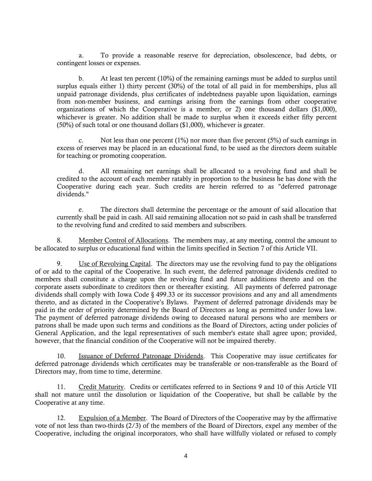a. To provide a reasonable reserve for depreciation, obsolescence, bad debts, or contingent losses or expenses.

b. At least ten percent (10%) of the remaining earnings must be added to surplus until surplus equals either 1) thirty percent (30%) of the total of all paid in for memberships, plus all unpaid patronage dividends, plus certificates of indebtedness payable upon liquidation, earnings from non-member business, and earnings arising from the earnings from other cooperative organizations of which the Cooperative is a member, or 2) one thousand dollars (\$1,000), whichever is greater. No addition shall be made to surplus when it exceeds either fifty percent (50%) of such total or one thousand dollars (\$1,000), whichever is greater.

c. Not less than one percent (1%) nor more than five percent (5%) of such earnings in excess of reserves may be placed in an educational fund, to be used as the directors deem suitable for teaching or promoting cooperation.

d. All remaining net earnings shall be allocated to a revolving fund and shall be credited to the account of each member ratably in proportion to the business he has done with the Cooperative during each year. Such credits are herein referred to as "deferred patronage dividends."

e. The directors shall determine the percentage or the amount of said allocation that currently shall be paid in cash. All said remaining allocation not so paid in cash shall be transferred to the revolving fund and credited to said members and subscribers.

8. Member Control of Allocations. The members may, at any meeting, control the amount to be allocated to surplus or educational fund within the limits specified in Section 7 of this Article VII.

9. Use of Revolving Capital. The directors may use the revolving fund to pay the obligations of or add to the capital of the Cooperative. In such event, the deferred patronage dividends credited to members shall constitute a charge upon the revolving fund and future additions thereto and on the corporate assets subordinate to creditors then or thereafter existing. All payments of deferred patronage dividends shall comply with Iowa Code § 499.33 or its successor provisions and any and all amendments thereto, and as dictated in the Cooperative's Bylaws. Payment of deferred patronage dividends may be paid in the order of priority determined by the Board of Directors as long as permitted under Iowa law. The payment of deferred patronage dividends owing to deceased natural persons who are members or patrons shall be made upon such terms and conditions as the Board of Directors, acting under policies of General Application, and the legal representatives of such member's estate shall agree upon; provided, however, that the financial condition of the Cooperative will not be impaired thereby.

10. Issuance of Deferred Patronage Dividends. This Cooperative may issue certificates for deferred patronage dividends which certificates may be transferable or non-transferable as the Board of Directors may, from time to time, determine.

11. Credit Maturity. Credits or certificates referred to in Sections 9 and 10 of this Article VII shall not mature until the dissolution or liquidation of the Cooperative, but shall be callable by the Cooperative at any time.

12. Expulsion of a Member. The Board of Directors of the Cooperative may by the affirmative vote of not less than two-thirds (2/3) of the members of the Board of Directors, expel any member of the Cooperative, including the original incorporators, who shall have willfully violated or refused to comply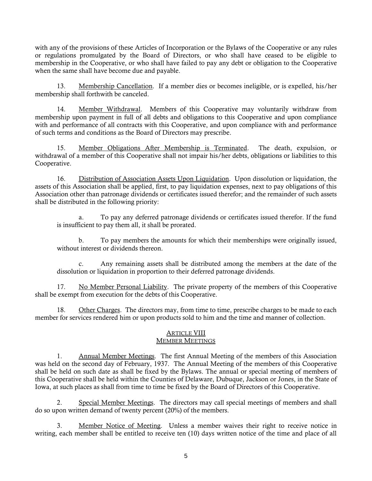with any of the provisions of these Articles of Incorporation or the Bylaws of the Cooperative or any rules or regulations promulgated by the Board of Directors, or who shall have ceased to be eligible to membership in the Cooperative, or who shall have failed to pay any debt or obligation to the Cooperative when the same shall have become due and payable.

13. Membership Cancellation. If a member dies or becomes ineligible, or is expelled, his/her membership shall forthwith be canceled.

14. Member Withdrawal. Members of this Cooperative may voluntarily withdraw from membership upon payment in full of all debts and obligations to this Cooperative and upon compliance with and performance of all contracts with this Cooperative, and upon compliance with and performance of such terms and conditions as the Board of Directors may prescribe.

15. Member Obligations After Membership is Terminated. The death, expulsion, or withdrawal of a member of this Cooperative shall not impair his/her debts, obligations or liabilities to this Cooperative.

16. Distribution of Association Assets Upon Liquidation. Upon dissolution or liquidation, the assets of this Association shall be applied, first, to pay liquidation expenses, next to pay obligations of this Association other than patronage dividends or certificates issued therefor; and the remainder of such assets shall be distributed in the following priority:

a. To pay any deferred patronage dividends or certificates issued therefor. If the fund is insufficient to pay them all, it shall be prorated.

b. To pay members the amounts for which their memberships were originally issued, without interest or dividends thereon.

c. Any remaining assets shall be distributed among the members at the date of the dissolution or liquidation in proportion to their deferred patronage dividends.

17. No Member Personal Liability. The private property of the members of this Cooperative shall be exempt from execution for the debts of this Cooperative.

18. Other Charges. The directors may, from time to time, prescribe charges to be made to each member for services rendered him or upon products sold to him and the time and manner of collection.

# ARTICLE VIII

# MEMBER MEETINGS

1. Annual Member Meetings. The first Annual Meeting of the members of this Association was held on the second day of February, 1937. The Annual Meeting of the members of this Cooperative shall be held on such date as shall be fixed by the Bylaws. The annual or special meeting of members of this Cooperative shall be held within the Counties of Delaware, Dubuque, Jackson or Jones, in the State of Iowa, at such places as shall from time to time be fixed by the Board of Directors of this Cooperative.

2. Special Member Meetings. The directors may call special meetings of members and shall do so upon written demand of twenty percent (20%) of the members.

3. Member Notice of Meeting. Unless a member waives their right to receive notice in writing, each member shall be entitled to receive ten (10) days written notice of the time and place of all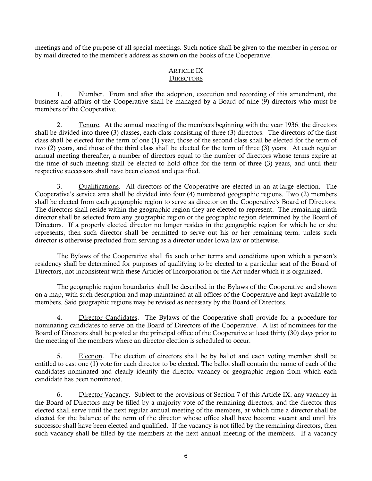meetings and of the purpose of all special meetings. Such notice shall be given to the member in person or by mail directed to the member's address as shown on the books of the Cooperative.

#### ARTICLE IX **DIRECTORS**

1. Number. From and after the adoption, execution and recording of this amendment, the business and affairs of the Cooperative shall be managed by a Board of nine (9) directors who must be members of the Cooperative.

2. Tenure. At the annual meeting of the members beginning with the year 1936, the directors shall be divided into three (3) classes, each class consisting of three (3) directors. The directors of the first class shall be elected for the term of one (1) year, those of the second class shall be elected for the term of two (2) years, and those of the third class shall be elected for the term of three (3) years. At each regular annual meeting thereafter, a number of directors equal to the number of directors whose terms expire at the time of such meeting shall be elected to hold office for the term of three (3) years, and until their respective successors shall have been elected and qualified.

3. Qualifications. All directors of the Cooperative are elected in an at-large election. The Cooperative's service area shall be divided into four (4) numbered geographic regions. Two (2) members shall be elected from each geographic region to serve as director on the Cooperative's Board of Directors. The directors shall reside within the geographic region they are elected to represent. The remaining ninth director shall be selected from any geographic region or the geographic region determined by the Board of Directors. If a properly elected director no longer resides in the geographic region for which he or she represents, then such director shall be permitted to serve out his or her remaining term, unless such director is otherwise precluded from serving as a director under Iowa law or otherwise.

The Bylaws of the Cooperative shall fix such other terms and conditions upon which a person's residency shall be determined for purposes of qualifying to be elected to a particular seat of the Board of Directors, not inconsistent with these Articles of Incorporation or the Act under which it is organized.

The geographic region boundaries shall be described in the Bylaws of the Cooperative and shown on a map, with such description and map maintained at all offices of the Cooperative and kept available to members. Said geographic regions may be revised as necessary by the Board of Directors.

4. Director Candidates. The Bylaws of the Cooperative shall provide for a procedure for nominating candidates to serve on the Board of Directors of the Cooperative. A list of nominees for the Board of Directors shall be posted at the principal office of the Cooperative at least thirty (30) days prior to the meeting of the members where an director election is scheduled to occur.

5. Election. The election of directors shall be by ballot and each voting member shall be entitled to cast one (1) vote for each director to be elected. The ballot shall contain the name of each of the candidates nominated and clearly identify the director vacancy or geographic region from which each candidate has been nominated.

6. Director Vacancy. Subject to the provisions of Section 7 of this Article IX, any vacancy in the Board of Directors may be filled by a majority vote of the remaining directors, and the director thus elected shall serve until the next regular annual meeting of the members, at which time a director shall be elected for the balance of the term of the director whose office shall have become vacant and until his successor shall have been elected and qualified. If the vacancy is not filled by the remaining directors, then such vacancy shall be filled by the members at the next annual meeting of the members. If a vacancy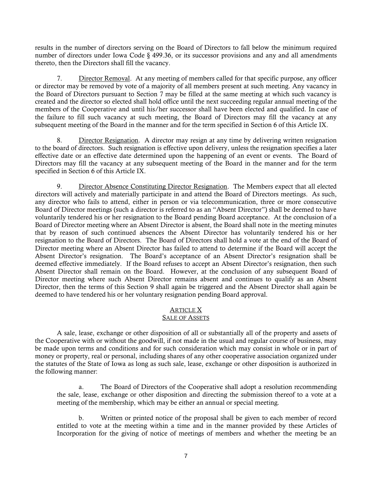results in the number of directors serving on the Board of Directors to fall below the minimum required number of directors under Iowa Code § 499.36, or its successor provisions and any and all amendments thereto, then the Directors shall fill the vacancy.

7. Director Removal. At any meeting of members called for that specific purpose, any officer or director may be removed by vote of a majority of all members present at such meeting. Any vacancy in the Board of Directors pursuant to Section 7 may be filled at the same meeting at which such vacancy is created and the director so elected shall hold office until the next succeeding regular annual meeting of the members of the Cooperative and until his/her successor shall have been elected and qualified. In case of the failure to fill such vacancy at such meeting, the Board of Directors may fill the vacancy at any subsequent meeting of the Board in the manner and for the term specified in Section 6 of this Article IX.

8. Director Resignation. A director may resign at any time by delivering written resignation to the board of directors. Such resignation is effective upon delivery, unless the resignation specifies a later effective date or an effective date determined upon the happening of an event or events. The Board of Directors may fill the vacancy at any subsequent meeting of the Board in the manner and for the term specified in Section 6 of this Article IX.

9. Director Absence Constituting Director Resignation. The Members expect that all elected directors will actively and materially participate in and attend the Board of Directors meetings. As such, any director who fails to attend, either in person or via telecommunication, three or more consecutive Board of Director meetings (such a director is referred to as an "Absent Director") shall be deemed to have voluntarily tendered his or her resignation to the Board pending Board acceptance. At the conclusion of a Board of Director meeting where an Absent Director is absent, the Board shall note in the meeting minutes that by reason of such continued absences the Absent Director has voluntarily tendered his or her resignation to the Board of Directors. The Board of Directors shall hold a vote at the end of the Board of Director meeting where an Absent Director has failed to attend to determine if the Board will accept the Absent Director's resignation. The Board's acceptance of an Absent Director's resignation shall be deemed effective immediately. If the Board refuses to accept an Absent Director's resignation, then such Absent Director shall remain on the Board. However, at the conclusion of any subsequent Board of Director meeting where such Absent Director remains absent and continues to qualify as an Absent Director, then the terms of this Section 9 shall again be triggered and the Absent Director shall again be deemed to have tendered his or her voluntary resignation pending Board approval.

#### ARTICLE X SALE OF ASSETS

A sale, lease, exchange or other disposition of all or substantially all of the property and assets of the Cooperative with or without the goodwill, if not made in the usual and regular course of business, may be made upon terms and conditions and for such consideration which may consist in whole or in part of money or property, real or personal, including shares of any other cooperative association organized under the statutes of the State of Iowa as long as such sale, lease, exchange or other disposition is authorized in the following manner:

a. The Board of Directors of the Cooperative shall adopt a resolution recommending the sale, lease, exchange or other disposition and directing the submission thereof to a vote at a meeting of the membership, which may be either an annual or special meeting.

b. Written or printed notice of the proposal shall be given to each member of record entitled to vote at the meeting within a time and in the manner provided by these Articles of Incorporation for the giving of notice of meetings of members and whether the meeting be an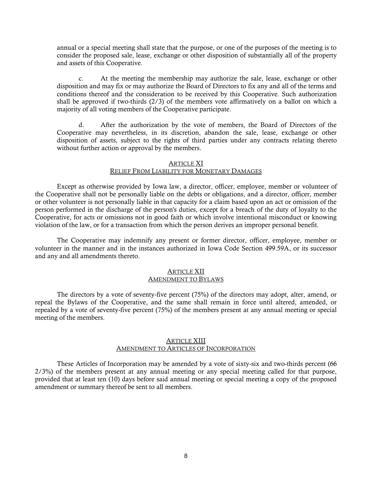annual or a special meeting shall state that the purpose, or one of the purposes of the meeting is to consider the proposed sale, lease, exchange or other disposition of substantially all of the property and assets of this Cooperative.

c. At the meeting the membership may authorize the sale, lease, exchange or other disposition and may fix or may authorize the Board of Directors to fix any and all of the terms and conditions thereof and the consideration to be received by this Cooperative. Such authorization shall be approved if two-thirds  $(2/3)$  of the members vote affirmatively on a ballot on which a majority of all voting members of the Cooperative participate.

d. After the authorization by the vote of members, the Board of Directors of the Cooperative may nevertheless, in its discretion, abandon the sale, lease, exchange or other disposition of assets, subject to the rights of third parties under any contracts relating thereto without further action or approval by the members.

#### ARTICLE XI

## RELIEF FROM LIABILITY FOR MONETARY DAMAGES

Except as otherwise provided by Iowa law, a director, officer, employee, member or volunteer of the Cooperative shall not be personally liable on the debts or obligations, and a director, officer, member or other volunteer is not personally liable in that capacity for a claim based upon an act or omission of the person performed in the discharge of the person's duties, except for a breach of the duty of loyalty to the Cooperative, for acts or omissions not in good faith or which involve intentional misconduct or knowing violation of the law, or for a transaction from which the person derives an improper personal benefit.

The Cooperative may indemnify any present or former director, officer, employee, member or volunteer in the manner and in the instances authorized in Iowa Code Section 499.59A, or its successor and any and all amendments thereto.

#### ARTICLE XII AMENDMENT TO BYLAWS

The directors by a vote of seventy-five percent (75%) of the directors may adopt, alter, amend, or repeal the Bylaws of the Cooperative, and the same shall remain in force until altered, amended, or repealed by a vote of seventy-five percent (75%) of the members present at any annual meeting or special meeting of the members.

#### **ARTICLE XIII** AMENDMENT TO ARTICLES OF INCORPORATION

These Articles of Incorporation may be amended by a vote of sixty-six and two-thirds percent (66 2/3%) of the members present at any annual meeting or any special meeting called for that purpose, provided that at least ten (10) days before said annual meeting or special meeting a copy of the proposed amendment or summary thereof be sent to all members.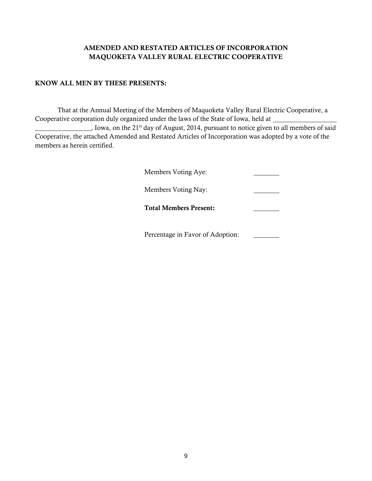# AMENDED AND RESTATED ARTICLES OF INCORPORATION MAQUOKETA VALLEY RURAL ELECTRIC COOPERATIVE

# KNOW ALL MEN BY THESE PRESENTS:

That at the Annual Meeting of the Members of Maquoketa Valley Rural Electric Cooperative, a Cooperative corporation duly organized under the laws of the State of Iowa, held at

 $\frac{1}{2}$ , Iowa, on the 21<sup>st</sup> day of August, 2014, pursuant to notice given to all members of said Cooperative, the attached Amended and Restated Articles of Incorporation was adopted by a vote of the members as herein certified.

| Members Voting Aye:              |  |
|----------------------------------|--|
| Members Voting Nay:              |  |
| <b>Total Members Present:</b>    |  |
| Percentage in Favor of Adoption: |  |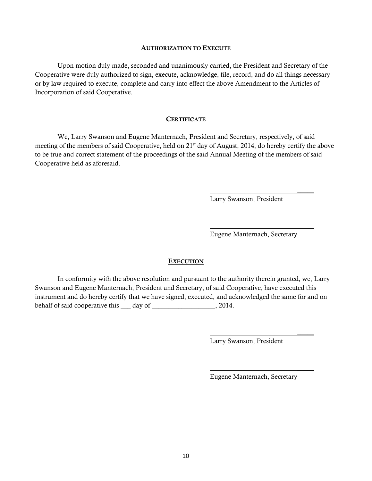#### AUTHORIZATION TO EXECUTE

Upon motion duly made, seconded and unanimously carried, the President and Secretary of the Cooperative were duly authorized to sign, execute, acknowledge, file, record, and do all things necessary or by law required to execute, complete and carry into effect the above Amendment to the Articles of Incorporation of said Cooperative.

#### **CERTIFICATE**

We, Larry Swanson and Eugene Manternach, President and Secretary, respectively, of said meeting of the members of said Cooperative, held on  $21<sup>st</sup>$  day of August, 2014, do hereby certify the above to be true and correct statement of the proceedings of the said Annual Meeting of the members of said Cooperative held as aforesaid.

Larry Swanson, President

 $\mathcal{L}$ 

 $\overline{\phantom{a}}$ 

 $\overline{\phantom{a}}$ 

 $\overline{\phantom{a}}$ 

Eugene Manternach, Secretary

#### **EXECUTION**

In conformity with the above resolution and pursuant to the authority therein granted, we, Larry Swanson and Eugene Manternach, President and Secretary, of said Cooperative, have executed this instrument and do hereby certify that we have signed, executed, and acknowledged the same for and on behalf of said cooperative this \_\_\_ day of \_\_\_\_\_\_\_\_\_\_\_\_\_\_\_\_\_\_\_, 2014.

Larry Swanson, President

Eugene Manternach, Secretary